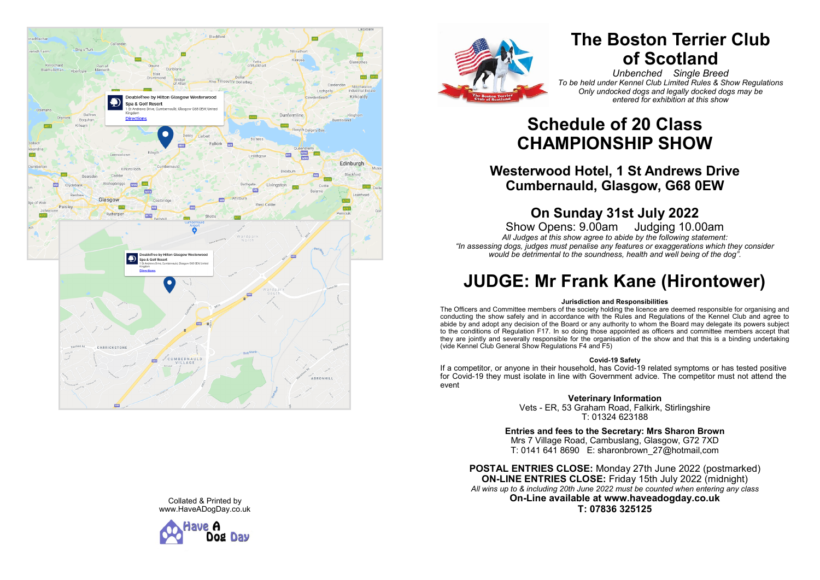



# **The Boston Terrier Club of Scotland**

*Unbenched Single Breed To be held under Kennel Club Limited Rules & Show Regulations Only undocked dogs and legally docked dogs may be entered for exhibition at this show*

# **Schedule of 20 Class CHAMPIONSHIP SHOW**

## **Westerwood Hotel, 1 St Andrews Drive Cumbernauld, Glasgow, G68 0EW**

# **On Sunday 31st July 2022**

Show Opens: 9.00am Judging 10.00am *All Judges at this show agree to abide by the following statement: "In assessing dogs, judges must penalise any features or exaggerations which they consider would be detrimental to the soundness, health and well being of the dog".*

# **JUDGE: Mr Frank Kane (Hirontower)**

#### **Jurisdiction and Responsibilities**

The Officers and Committee members of the society holding the licence are deemed responsible for organising and conducting the show safely and in accordance with the Rules and Regulations of the Kennel Club and agree to abide by and adopt any decision of the Board or any authority to whom the Board may delegate its powers subject to the conditions of Regulation F17. In so doing those appointed as officers and committee members accept that they are jointly and severally responsible for the organisation of the show and that this is a binding undertaking (vide Kennel Club General Show Regulations F4 and F5)

#### **Covid -19 Safety**

If a competitor, or anyone in their household, has Covid -19 related symptoms or has tested positive for Covid -19 they must isolate in line with Government advice. The competitor must not attend the event

**Veterinary Information**

Vets - ER, 53 Graham Road, Falkirk, Stirlingshire T: 01324 623188

**Entries and fees to the Secretary: Mrs Sharon Brown** Mrs 7 Village Road, Cambuslang, Glasgow, G72 7XD T: 0141 641 8690 E: sharonbrown\_27@hotmail,com

**POSTAL ENTRIES CLOSE:** Monday 27th June 2022 (postmarked) **ON -LINE ENTRIES CLOSE:** Friday 15th July 2022 (midnight) *All wins up to & including 20th June 2022 must be counted when entering any class* **On -Line available at www.haveadogday.co.uk T: 07836 325125**

Collated & Printed by www.HaveADogDay.co.uk

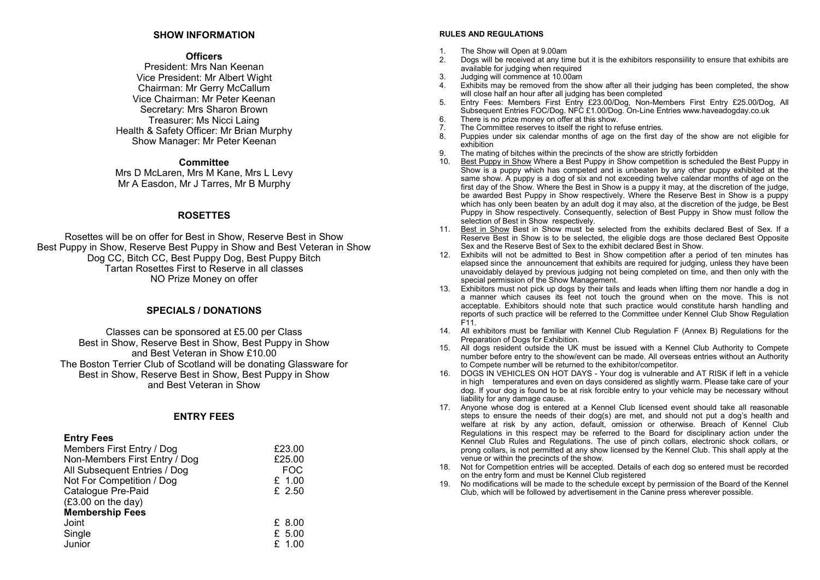#### **SHOW INFORMATION**

#### **Officers**

President: Mrs Nan Keenan Vice President: Mr Albert Wight Chairman: Mr Gerry McCallum Vice Chairman: Mr Peter Keenan Secretary: Mrs Sharon Brown Treasurer: Ms Nicci Laing Health & Safety Officer: Mr Brian Murphy Show Manager: Mr Peter Keenan

#### **Committee**

Mrs D McLaren, Mrs M Kane, Mrs L Levy Mr A Easdon, Mr J Tarres, Mr B Murphy

#### **ROSETTES**

Rosettes will be on offer for Best in Show, Reserve Best in Show Best Puppy in Show, Reserve Best Puppy in Show and Best Veteran in Show Dog CC, Bitch CC, Best Puppy Dog, Best Puppy Bitch Tartan Rosettes First to Reserve in all classes NO Prize Money on offer

#### **SPECIALS / DONATIONS**

Classes can be sponsored at £5.00 per Class Best in Show, Reserve Best in Show, Best Puppy in Show and Best Veteran in Show £10.00 The Boston Terrier Club of Scotland will be donating Glassware for Best in Show, Reserve Best in Show, Best Puppy in Show and Best Veteran in Show

#### **ENTRY FEES**

#### **Entry Fees**

| Members First Entry / Dog     | £23.00     |
|-------------------------------|------------|
| Non-Members First Entry / Dog | £25.00     |
| All Subsequent Entries / Dog  | <b>FOC</b> |
| Not For Competition / Dog     | £ 1.00     |
| Catalogue Pre-Paid            | $£$ 2.50   |
| $(E3.00 \text{ on the day})$  |            |
| <b>Membership Fees</b>        |            |
| Joint                         | £ 8.00     |
| Single                        | £ 5.00     |
| Junior                        | £ 1.00     |
|                               |            |

#### **RULES AND REGULATIONS**

- 1. The Show will Open at 9.00am
- 2. Dogs will be received at any time but it is the exhibitors responsiility to ensure that exhibits are available for judging when required
- 3. Judging will commence at 10.00am
- 4. Exhibits may be removed from the show after all their judging has been completed, the show will close half an hour after all judging has been completed
- 5. Entry Fees: Members First Entry £23.00/Dog, Non-Members First Entry £25.00/Dog, All Subsequent Entries FOC/Dog. NFC £1.00/Dog. On-Line Entries www.haveadogday.co.uk
- 6. There is no prize money on offer at this show.<br>The Committee reserves to itself the right to re
- 7. The Committee reserves to itself the right to refuse entries.<br>8. Puppies under six calendar months of age on the first d
- Puppies under six calendar months of age on the first day of the show are not eligible for exhibition
- 9. The mating of bitches within the precincts of the show are strictly forbidden<br>10. Best Punny in Show Where a Best Punny in Show competition is schedule
- Best Puppy in Show Where a Best Puppy in Show competition is scheduled the Best Puppy in Show is a puppy which has competed and is unbeaten by any other puppy exhibited at the same show. A puppy is a dog of six and not exceeding twelve calendar months of age on the first day of the Show. Where the Best in Show is a puppy it may, at the discretion of the judge, be awarded Best Puppy in Show respectively. Where the Reserve Best in Show is a puppy which has only been beaten by an adult dog it may also, at the discretion of the judge, be Best Puppy in Show respectively. Consequently, selection of Best Puppy in Show must follow the selection of Best in Show respectively.
- 11. Best in Show Best in Show must be selected from the exhibits declared Best of Sex. If a Reserve Best in Show is to be selected, the eligible dogs are those declared Best Opposite Sex and the Reserve Best of Sex to the exhibit declared Best in Show.
- 12. Exhibits will not be admitted to Best in Show competition after a period of ten minutes has elapsed since the announcement that exhibits are required for judging, unless they have been unavoidably delayed by previous judging not being completed on time, and then only with the special permission of the Show Management.
- 13. Exhibitors must not pick up dogs by their tails and leads when lifting them nor handle a dog in a manner which causes its feet not touch the ground when on the move. This is not acceptable. Exhibitors should note that such practice would constitute harsh handling and reports of such practice will be referred to the Committee under Kennel Club Show Regulation F11.
- 14. All exhibitors must be familiar with Kennel Club Regulation F (Annex B) Regulations for the Preparation of Dogs for Exhibition.
- 15. All dogs resident outside the UK must be issued with a Kennel Club Authority to Compete number before entry to the show/event can be made. All overseas entries without an Authority to Compete number will be returned to the exhibitor/competitor.
- 16. DOGS IN VEHICLES ON HOT DAYS Your dog is vulnerable and AT RISK if left in a vehicle in high temperatures and even on days considered as slightly warm. Please take care of your dog. If your dog is found to be at risk forcible entry to your vehicle may be necessary without liability for any damage cause.
- 17. Anyone whose dog is entered at a Kennel Club licensed event should take all reasonable steps to ensure the needs of their dog(s) are met, and should not put a dog's health and welfare at risk by any action, default, omission or otherwise. Breach of Kennel Club Regulations in this respect may be referred to the Board for disciplinary action under the Kennel Club Rules and Regulations. The use of pinch collars, electronic shock collars, or prong collars, is not permitted at any show licensed by the Kennel Club. This shall apply at the venue or within the precincts of the show.
- 18. Not for Competition entries will be accepted. Details of each dog so entered must be recorded on the entry form and must be Kennel Club registered
- 19. No modifications will be made to the schedule except by permission of the Board of the Kennel Club, which will be followed by advertisement in the Canine press wherever possible.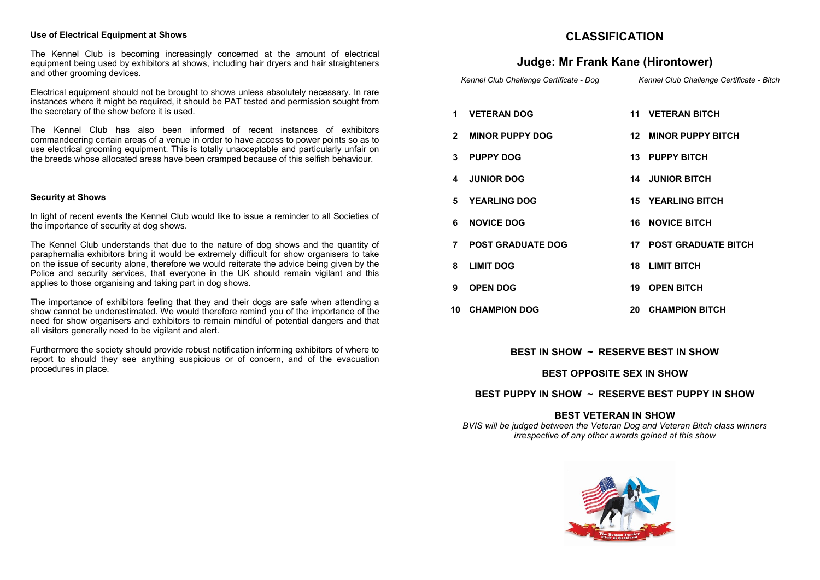#### **Use of Electrical Equipment at Shows**

The Kennel Club is becoming increasingly concerned at the amount of electrical equipment being used by exhibitors at shows, including hair dryers and hair straighteners and other grooming devices.

Electrical equipment should not be brought to shows unless absolutely necessary. In rare instances where it might be required, it should be PAT tested and permission sought from the secretary of the show before it is used.

The Kennel Club has also been informed of recent instances of exhibitors commandeering certain areas of a venue in order to have access to power points so as to use electrical grooming equipment. This is totally unacceptable and particularly unfair on the breeds whose allocated areas have been cramped because of this selfish behaviour.

#### **Security at Shows**

In light of recent events the Kennel Club would like to issue a reminder to all Societies of the importance of security at dog shows.

The Kennel Club understands that due to the nature of dog shows and the quantity of paraphernalia exhibitors bring it would be extremely difficult for show organisers to take on the issue of security alone, therefore we would reiterate the advice being given by the Police and security services, that everyone in the UK should remain vigilant and this applies to those organising and taking part in dog shows.

The importance of exhibitors feeling that they and their dogs are safe when attending a show cannot be underestimated. We would therefore remind you of the importance of the need for show organisers and exhibitors to remain mindful of potential dangers and that all visitors generally need to be vigilant and alert.

Furthermore the society should provide robust notification informing exhibitors of where to report to should they see anything suspicious or of concern, and of the evacuation procedures in place.

## **CLASSIFICATION**

### **Judge: Mr Frank Kane (Hirontower)**

 *Kennel Club Challenge Certificate - Dog Kennel Club Challenge Certificate - Bitch*

- **1 VETERAN DOG 11 VETERAN BITCH**
- **2 MINOR PUPPY DOG 12 MINOR PUPPY BITCH**
- **3 PUPPY DOG 13 PUPPY BITCH**
- **4 JUNIOR DOG 14 JUNIOR BITCH**
- **5 YEARLING DOG 15 YEARLING BITCH**
- **6 NOVICE DOG 16 NOVICE BITCH**
- **7 POST GRADUATE DOG 17 POST GRADUATE BITCH**
- **8 LIMIT DOG 18 LIMIT BITCH**
- **9 OPEN DOG 19 OPEN BITCH**
- **10 CHAMPION DOG 20 CHAMPION BITCH**

#### **BEST IN SHOW ~ RESERVE BEST IN SHOW**

#### **BEST OPPOSITE SEX IN SHOW**

#### **BEST PUPPY IN SHOW ~ RESERVE BEST PUPPY IN SHOW**

#### **BEST VETERAN IN SHOW**

*BVIS will be judged between the Veteran Dog and Veteran Bitch class winners irrespective of any other awards gained at this show* 

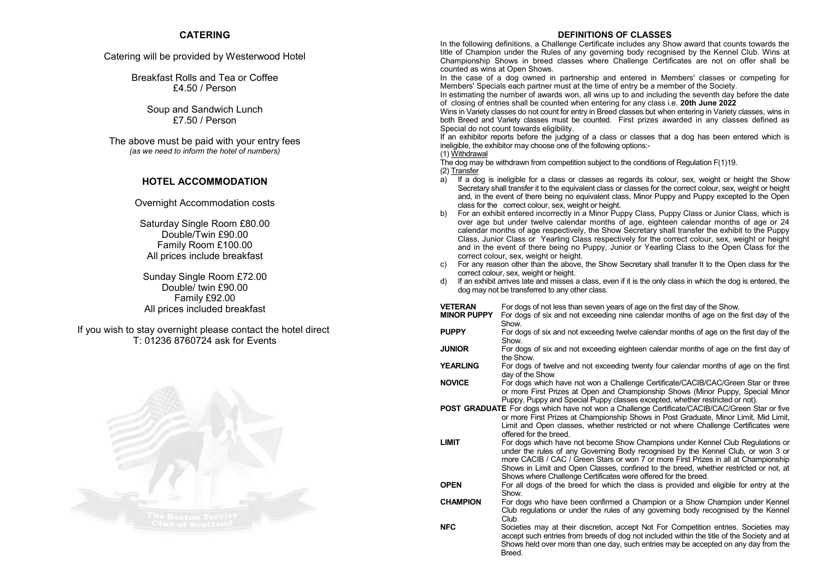### **CATERING**

#### Catering will be provided by Westerwood Hotel

Breakfast Rolls and Tea or Coffee £4.50 / Person

> Soup and Sandwich Lunch £7.50 / Person

The above must be paid with your entry fees *(as we need to inform the hotel of numbers)*

### **HOTEL ACCOMMODATION**

Overnight Accommodation costs

Saturday Single Room £80.00 Double/Twin £90.00 Family Room £100.00 All prices include breakfast

Sunday Single Room £72.00 Double/ twin £90.00 Family £92.00 All prices included breakfast

If you wish to stay overnight please contact the hotel direct T: 01236 8760724 ask for Events



#### **DEFINITIONS OF CLASSES**

In the following definitions, a Challenge Certificate includes any Show award that counts towards the title of Champion under the Rules of any governing body recognised by the Kennel Club. Wins at Championship Shows in breed classes where Challenge Certificates are not on offer shall be counted as wins at Open Shows.

In the case of a dog owned in partnership and entered in Members' classes or competing for Members' Specials each partner must at the time of entry be a member of the Society.

In estimating the number of awards won, all wins up to and including the seventh day before the date of closing of entries shall be counted when entering for any class i.e. **20th June 2022**

Wins in Variety classes do not count for entry in Breed classes but when entering in Variety classes, wins in both Breed and Variety classes must be counted. First prizes awarded in any classes defined as Special do not count towards eligibility.

If an exhibitor reports before the judging of a class or classes that a dog has been entered which is ineligible, the exhibitor may choose one of the following options:-

#### (1) Withdrawal

The dog may be withdrawn from competition subject to the conditions of Regulation F(1)19. (2) Transfer

- a) If a dog is ineligible for a class or classes as regards its colour, sex, weight or height the Show Secretary shall transfer it to the equivalent class or classes for the correct colour, sex, weight or height and, in the event of there being no equivalent class, Minor Puppy and Puppy excepted to the Open class for the correct colour, sex, weight or height.
- b) For an exhibit entered incorrectly in a Minor Puppy Class, Puppy Class or Junior Class, which is over age but under twelve calendar months of age, eighteen calendar months of age or 24 calendar months of age respectively, the Show Secretary shall transfer the exhibit to the Puppy Class, Junior Class or Yearling Class respectively for the correct colour, sex, weight or height and in the event of there being no Puppy, Junior or Yearling Class to the Open Class for the correct colour, sex, weight or height.
- For any reason other than the above, the Show Secretary shall transfer It to the Open class for the correct colour, sex, weight or height.
- d) If an exhibit arrives late and misses a class, even if it is the only class in which the dog is entered, the dog may not be transferred to any other class.

| VETERAN | For dogs of not less than seven years of age on the first day of the Show. |  |
|---------|----------------------------------------------------------------------------|--|
|         |                                                                            |  |

- **MINOR PUPPY** For dogs of six and not exceeding nine calendar months of age on the first day of the **Show**
- **PUPPY** For dogs of six and not exceeding twelve calendar months of age on the first day of the **Show.**
- **JUNIOR** For dogs of six and not exceeding eighteen calendar months of age on the first day of the Show.
- **YEARLING** For dogs of twelve and not exceeding twenty four calendar months of age on the first day of the Show

**NOVICE** For dogs which have not won a Challenge Certificate/CACIB/CAC/Green Star or three or more First Prizes at Open and Championship Shows (Minor Puppy, Special Minor Puppy, Puppy and Special Puppy classes excepted, whether restricted or not).

**POST GRADUATE** For dogs which have not won a Challenge Certificate/CACIB/CAC/Green Star or five or more First Prizes at Championship Shows in Post Graduate, Minor Limit, Mid Limit, Limit and Open classes, whether restricted or not where Challenge Certificates were offered for the breed.

**LIMIT** For dogs which have not become Show Champions under Kennel Club Regulations or under the rules of any Governing Body recognised by the Kennel Club, or won 3 or more CACIB / CAC / Green Stars or won 7 or more First Prizes in all at Championship Shows in Limit and Open Classes, confined to the breed, whether restricted or not, at Shows where Challenge Certificates were offered for the breed.

**OPEN** For all dogs of the breed for which the class is provided and eligible for entry at the Show.

**CHAMPION** For dogs who have been confirmed a Champion or a Show Champion under Kennel Club regulations or under the rules of any governing body recognised by the Kennel Club.

**NFC** Societies may at their discretion, accept Not For Competition entries. Societies may accept such entries from breeds of dog not included within the title of the Society and at Shows held over more than one day, such entries may be accepted on any day from the **Breed.**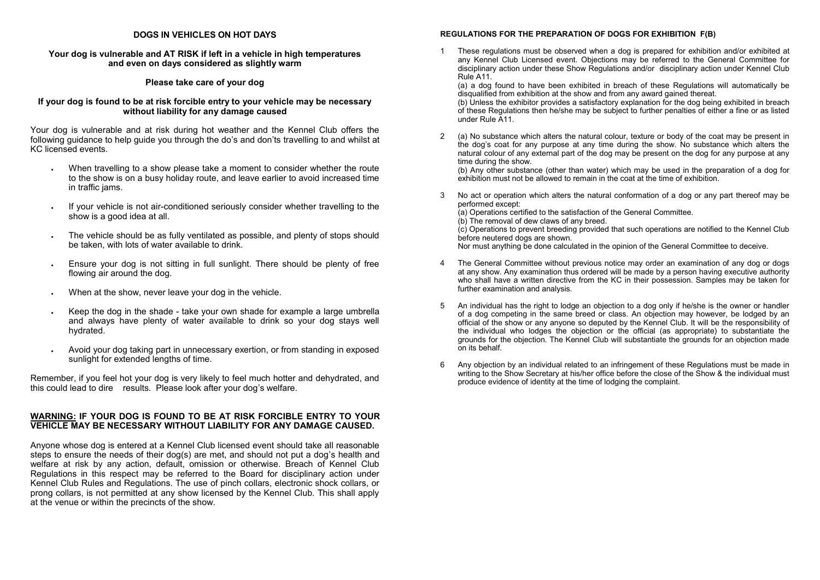#### **DOGS IN VEHICLES ON HOT DAYS**

#### **Your dog is vulnerable and AT RISK if left in a vehicle in high temperatures and even on days considered as slightly warm**

#### **Please take care of your dog**

#### **If your dog is found to be at risk forcible entry to your vehicle may be necessary without liability for any damage caused**

Your dog is vulnerable and at risk during hot weather and the Kennel Club offers the following guidance to help guide you through the do's and don'ts travelling to and whilst at KC licensed events.

- When travelling to a show please take a moment to consider whether the route to the show is on a busy holiday route, and leave earlier to avoid increased time in traffic jams.
- If your vehicle is not air-conditioned seriously consider whether travelling to the show is a good idea at all.
- The vehicle should be as fully ventilated as possible, and plenty of stops should be taken, with lots of water available to drink.
- Ensure your dog is not sitting in full sunlight. There should be plenty of free flowing air around the dog.
- When at the show, never leave your dog in the vehicle.
- Keep the dog in the shade take your own shade for example a large umbrella and always have plenty of water available to drink so your dog stays well hydrated.
- Avoid your dog taking part in unnecessary exertion, or from standing in exposed sunlight for extended lengths of time.

Remember, if you feel hot your dog is very likely to feel much hotter and dehydrated, and this could lead to dire results. Please look after your dog's welfare.

#### **WARNING: IF YOUR DOG IS FOUND TO BE AT RISK FORCIBLE ENTRY TO YOUR VEHICLE MAY BE NECESSARY WITHOUT LIABILITY FOR ANY DAMAGE CAUSED.**

Anyone whose dog is entered at a Kennel Club licensed event should take all reasonable steps to ensure the needs of their dog(s) are met, and should not put a dog's health and welfare at risk by any action, default, omission or otherwise. Breach of Kennel Club Regulations in this respect may be referred to the Board for disciplinary action under Kennel Club Rules and Regulations. The use of pinch collars, electronic shock collars, or prong collars, is not permitted at any show licensed by the Kennel Club. This shall apply at the venue or within the precincts of the show.

#### **REGULATIONS FOR THE PREPARATION OF DOGS FOR EXHIBITION F(B)**

1 These regulations must be observed when a dog is prepared for exhibition and/or exhibited at any Kennel Club Licensed event. Objections may be referred to the General Committee for disciplinary action under these Show Regulations and/or disciplinary action under Kennel Club Rule A11.

(a) a dog found to have been exhibited in breach of these Regulations will automatically be disqualified from exhibition at the show and from any award gained thereat.

(b) Unless the exhibitor provides a satisfactory explanation for the dog being exhibited in breach of these Regulations then he/she may be subject to further penalties of either a fine or as listed under Rule A11.

2 (a) No substance which alters the natural colour, texture or body of the coat may be present in the dog's coat for any purpose at any time during the show. No substance which alters the natural colour of any external part of the dog may be present on the dog for any purpose at any time during the show.

(b) Any other substance (other than water) which may be used in the preparation of a dog for exhibition must not be allowed to remain in the coat at the time of exhibition.

- 3 No act or operation which alters the natural conformation of a dog or any part thereof may be performed except:
	- (a) Operations certified to the satisfaction of the General Committee.
	- (b) The removal of dew claws of any breed.

(c) Operations to prevent breeding provided that such operations are notified to the Kennel Club before neutered dogs are shown.

Nor must anything be done calculated in the opinion of the General Committee to deceive.

- 4 The General Committee without previous notice may order an examination of any dog or dogs at any show. Any examination thus ordered will be made by a person having executive authority who shall have a written directive from the KC in their possession. Samples may be taken for further examination and analysis.
- 5 An individual has the right to lodge an objection to a dog only if he/she is the owner or handler of a dog competing in the same breed or class. An objection may however, be lodged by an official of the show or any anyone so deputed by the Kennel Club. It will be the responsibility of the individual who lodges the objection or the official (as appropriate) to substantiate the grounds for the objection. The Kennel Club will substantiate the grounds for an objection made on its behalf.
- 6 Any objection by an individual related to an infringement of these Regulations must be made in writing to the Show Secretary at his/her office before the close of the Show & the individual must produce evidence of identity at the time of lodging the complaint.